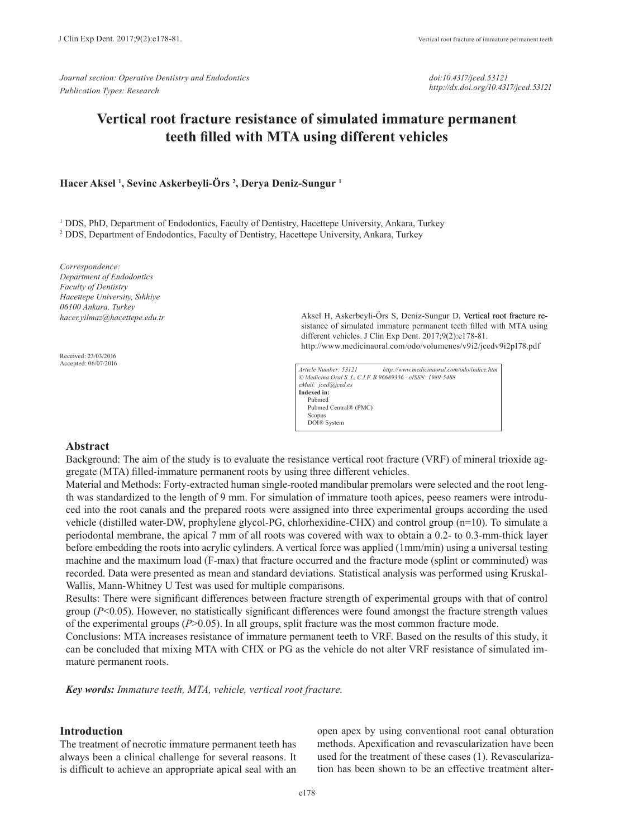*Journal section: Operative Dentistry and Endodontics Publication Types: Research*

*doi:10.4317/jced.53121 http://dx.doi.org/10.4317/jced.53121*

# **Vertical root fracture resistance of simulated immature permanent teeth filled with MTA using different vehicles**

## **Hacer Aksel <sup>1</sup> , Sevinc Askerbeyli-Örs <sup>2</sup> , Derya Deniz-Sungur <sup>1</sup>**

<sup>1</sup> DDS, PhD, Department of Endodontics, Faculty of Dentistry, Hacettepe University, Ankara, Turkey 2 DDS, Department of Endodontics, Faculty of Dentistry, Hacettepe University, Ankara, Turkey

*Correspondence: Department of Endodontics Faculty of Dentistry Hacettepe University, Sıhhiye 06100 Ankara, Turkey hacer.yilmaz@hacettepe.edu.tr*

Received: 23/03/2016 Accepted: 06/07/2016 Aksel H, Askerbeyli-Örs S, Deniz-Sungur D. Vertical root fracture resistance of simulated immature permanent teeth filled with MTA using different vehicles. J Clin Exp Dent. 2017;9(2):e178-81. http://www.medicinaoral.com/odo/volumenes/v9i2/jcedv9i2p178.pdf

*Article Number: 53121 http://www.medicinaoral.com/odo/indice.htm © Medicina Oral S. L. C.I.F. B 96689336 - eISSN: 1989-5488 eMail: jced@jced.es* **Indexed in:** Pubmed Pubmed Central® (PMC) Scopus DOI® System

#### **Abstract**

Background: The aim of the study is to evaluate the resistance vertical root fracture (VRF) of mineral trioxide aggregate (MTA) filled-immature permanent roots by using three different vehicles.

Material and Methods: Forty-extracted human single-rooted mandibular premolars were selected and the root length was standardized to the length of 9 mm. For simulation of immature tooth apices, peeso reamers were introduced into the root canals and the prepared roots were assigned into three experimental groups according the used vehicle (distilled water-DW, prophylene glycol-PG, chlorhexidine-CHX) and control group (n=10). To simulate a periodontal membrane, the apical 7 mm of all roots was covered with wax to obtain a 0.2- to 0.3-mm-thick layer before embedding the roots into acrylic cylinders. A vertical force was applied (1mm/min) using a universal testing machine and the maximum load (F-max) that fracture occurred and the fracture mode (splint or comminuted) was recorded. Data were presented as mean and standard deviations. Statistical analysis was performed using Kruskal-Wallis, Mann-Whitney U Test was used for multiple comparisons.

Results: There were significant differences between fracture strength of experimental groups with that of control group (*P*<0.05). However, no statistically significant differences were found amongst the fracture strength values of the experimental groups (*P*>0.05). In all groups, split fracture was the most common fracture mode.

Conclusions: MTA increases resistance of immature permanent teeth to VRF. Based on the results of this study, it can be concluded that mixing MTA with CHX or PG as the vehicle do not alter VRF resistance of simulated immature permanent roots.

*Key words: Immature teeth, MTA, vehicle, vertical root fracture.*

## **Introduction**

The treatment of necrotic immature permanent teeth has always been a clinical challenge for several reasons. It is difficult to achieve an appropriate apical seal with an

open apex by using conventional root canal obturation methods. Apexification and revascularization have been used for the treatment of these cases (1). Revascularization has been shown to be an effective treatment alter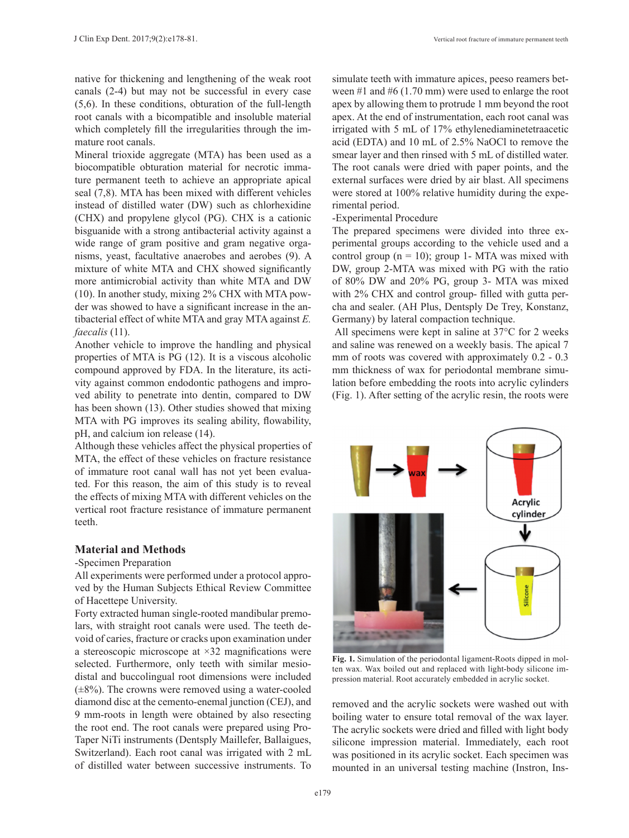native for thickening and lengthening of the weak root canals (2-4) but may not be successful in every case (5,6). In these conditions, obturation of the full-length root canals with a bicompatible and insoluble material which completely fill the irregularities through the immature root canals.

Mineral trioxide aggregate (MTA) has been used as a biocompatible obturation material for necrotic immature permanent teeth to achieve an appropriate apical seal (7,8). MTA has been mixed with different vehicles instead of distilled water (DW) such as chlorhexidine (CHX) and propylene glycol (PG). CHX is a cationic bisguanide with a strong antibacterial activity against a wide range of gram positive and gram negative organisms, yeast, facultative anaerobes and aerobes (9). A mixture of white MTA and CHX showed significantly more antimicrobial activity than white MTA and DW (10). In another study, mixing 2% CHX with MTA powder was showed to have a significant increase in the antibacterial effect of white MTA and gray MTA against *E. faecalis* (11).

Another vehicle to improve the handling and physical properties of MTA is PG (12). It is a viscous alcoholic compound approved by FDA. In the literature, its activity against common endodontic pathogens and improved ability to penetrate into dentin, compared to DW has been shown (13). Other studies showed that mixing MTA with PG improves its sealing ability, flowability, pH, and calcium ion release (14).

Although these vehicles affect the physical properties of MTA, the effect of these vehicles on fracture resistance of immature root canal wall has not yet been evaluated. For this reason, the aim of this study is to reveal the effects of mixing MTA with different vehicles on the vertical root fracture resistance of immature permanent teeth.

# **Material and Methods**

-Specimen Preparation

All experiments were performed under a protocol approved by the Human Subjects Ethical Review Committee of Hacettepe University.

Forty extracted human single-rooted mandibular premolars, with straight root canals were used. The teeth devoid of caries, fracture or cracks upon examination under a stereoscopic microscope at ×32 magnifications were selected. Furthermore, only teeth with similar mesiodistal and buccolingual root dimensions were included  $(\pm 8\%)$ . The crowns were removed using a water-cooled diamond disc at the cemento-enemal junction (CEJ), and 9 mm-roots in length were obtained by also resecting the root end. The root canals were prepared using Pro-Taper NiTi instruments (Dentsply Maillefer, Ballaigues, Switzerland). Each root canal was irrigated with 2 mL of distilled water between successive instruments. To simulate teeth with immature apices, peeso reamers between #1 and #6 (1.70 mm) were used to enlarge the root apex by allowing them to protrude 1 mm beyond the root apex. At the end of instrumentation, each root canal was irrigated with 5 mL of 17% ethylenediaminetetraacetic acid (EDTA) and 10 mL of 2.5% NaOCl to remove the smear layer and then rinsed with 5 mL of distilled water. The root canals were dried with paper points, and the external surfaces were dried by air blast. All specimens were stored at 100% relative humidity during the experimental period.

#### -Experimental Procedure

The prepared specimens were divided into three experimental groups according to the vehicle used and a control group  $(n = 10)$ ; group 1- MTA was mixed with DW, group 2-MTA was mixed with PG with the ratio of 80% DW and 20% PG, group 3- MTA was mixed with 2% CHX and control group- filled with gutta percha and sealer. (AH Plus, Dentsply De Trey, Konstanz, Germany) by lateral compaction technique.

 All specimens were kept in saline at 37°C for 2 weeks and saline was renewed on a weekly basis. The apical 7 mm of roots was covered with approximately 0.2 - 0.3 mm thickness of wax for periodontal membrane simulation before embedding the roots into acrylic cylinders (Fig. 1). After setting of the acrylic resin, the roots were



**Fig. 1.** Simulation of the periodontal ligament-Roots dipped in molten wax. Wax boiled out and replaced with light-body silicone impression material. Root accurately embedded in acrylic socket.

removed and the acrylic sockets were washed out with boiling water to ensure total removal of the wax layer. The acrylic sockets were dried and filled with light body silicone impression material. Immediately, each root was positioned in its acrylic socket. Each specimen was mounted in an universal testing machine (Instron, Ins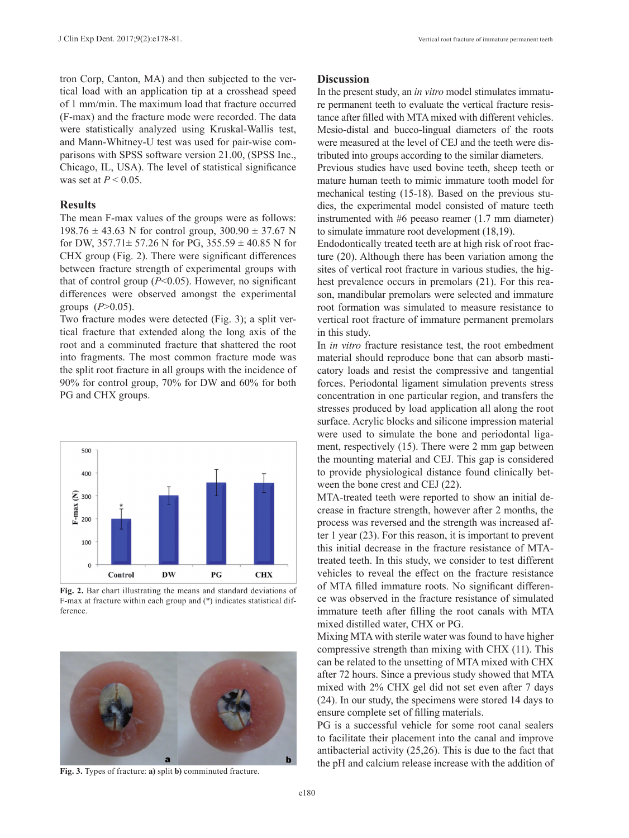tron Corp, Canton, MA) and then subjected to the vertical load with an application tip at a crosshead speed of 1 mm/min. The maximum load that fracture occurred (F-max) and the fracture mode were recorded. The data were statistically analyzed using Kruskal-Wallis test, and Mann-Whitney-U test was used for pair-wise comparisons with SPSS software version 21.00, (SPSS Inc., Chicago, IL, USA). The level of statistical significance was set at *P* < 0.05.

### **Results**

The mean F-max values of the groups were as follows: 198.76  $\pm$  43.63 N for control group, 300.90  $\pm$  37.67 N for DW,  $357.71 \pm 57.26$  N for PG,  $355.59 \pm 40.85$  N for CHX group (Fig. 2). There were significant differences between fracture strength of experimental groups with that of control group  $(P<0.05)$ . However, no significant differences were observed amongst the experimental groups  $(P>0.05)$ .

Two fracture modes were detected (Fig. 3); a split vertical fracture that extended along the long axis of the root and a comminuted fracture that shattered the root into fragments. The most common fracture mode was the split root fracture in all groups with the incidence of 90% for control group, 70% for DW and 60% for both PG and CHX groups.



**Fig. 2.** Bar chart illustrating the means and standard deviations of F-max at fracture within each group and (\*) indicates statistical difference



**Fig. 3.** Types of fracture: **a)** split **b)** comminuted fracture.

# **Discussion**

In the present study, an *in vitro* model stimulates immature permanent teeth to evaluate the vertical fracture resistance after filled with MTA mixed with different vehicles. Mesio-distal and bucco-lingual diameters of the roots were measured at the level of CEJ and the teeth were distributed into groups according to the similar diameters.

Previous studies have used bovine teeth, sheep teeth or mature human teeth to mimic immature tooth model for mechanical testing (15-18). Based on the previous studies, the experimental model consisted of mature teeth instrumented with #6 peeaso reamer (1.7 mm diameter) to simulate immature root development (18,19).

Endodontically treated teeth are at high risk of root fracture (20). Although there has been variation among the sites of vertical root fracture in various studies, the highest prevalence occurs in premolars (21). For this reason, mandibular premolars were selected and immature root formation was simulated to measure resistance to vertical root fracture of immature permanent premolars in this study.

In *in vitro* fracture resistance test, the root embedment material should reproduce bone that can absorb masticatory loads and resist the compressive and tangential forces. Periodontal ligament simulation prevents stress concentration in one particular region, and transfers the stresses produced by load application all along the root surface. Acrylic blocks and silicone impression material were used to simulate the bone and periodontal ligament, respectively (15). There were 2 mm gap between the mounting material and CEJ. This gap is considered to provide physiological distance found clinically between the bone crest and CEJ (22).

MTA-treated teeth were reported to show an initial decrease in fracture strength, however after 2 months, the process was reversed and the strength was increased after 1 year (23). For this reason, it is important to prevent this initial decrease in the fracture resistance of MTAtreated teeth. In this study, we consider to test different vehicles to reveal the effect on the fracture resistance of MTA filled immature roots. No significant difference was observed in the fracture resistance of simulated immature teeth after filling the root canals with MTA mixed distilled water, CHX or PG.

Mixing MTA with sterile water was found to have higher compressive strength than mixing with CHX (11). This can be related to the unsetting of MTA mixed with CHX after 72 hours. Since a previous study showed that MTA mixed with 2% CHX gel did not set even after 7 days (24). In our study, the specimens were stored 14 days to ensure complete set of filling materials.

PG is a successful vehicle for some root canal sealers to facilitate their placement into the canal and improve antibacterial activity (25,26). This is due to the fact that the pH and calcium release increase with the addition of